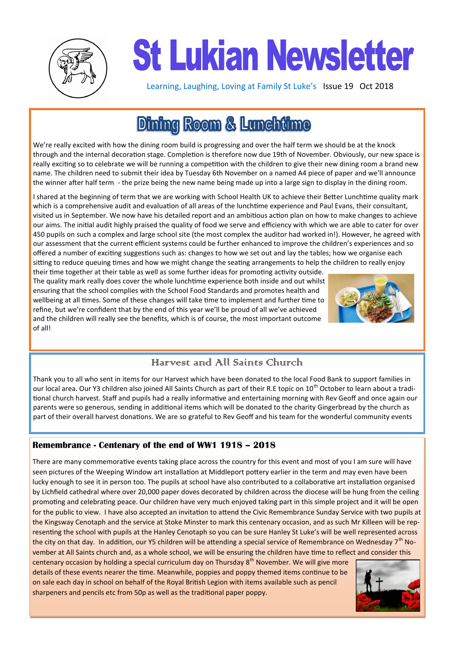

# **St Lukian Newsletter**

Learning, Laughing, Loving at Family St Luke's Issue 19 Oct 2018

# **Dining Room & Lunchüme**

We're really excited with how the dining room build is progressing and over the half term we should be at the knock through and the internal decoration stage. Completion is therefore now due 19th of November. Obviously, our new space is really exciting so to celebrate we will be running a competition with the children to give their new dining room a brand new name. The children need to submit their idea by Tuesday 6th November on a named A4 piece of paper and we'll announce the winner after half term - the prize being the new name being made up into a large sign to display in the dining room.

I shared at the beginning of term that we are working with School Health UK to achieve their Better Lunchtime quality mark which is a comprehensive audit and evaluation of all areas of the lunchtime experience and Paul Evans, their consultant, visited us in September. We now have his detailed report and an ambitious action plan on how to make changes to achieve our aims. The initial audit highly praised the quality of food we serve and efficiency with which we are able to cater for over 450 pupils on such a complex and large school site (the most complex the auditor had worked in!). However, he agreed with our assessment that the current efficient systems could be further enhanced to improve the children's experiences and so offered a number of exciting suggestions such as: changes to how we set out and lay the tables; how we organise each sitting to reduce queuing times and how we might change the seating arrangements to help the children to really enjoy

their time together at their table as well as some further ideas for promoting activity outside. The quality mark really does cover the whole lunchtime experience both inside and out whilst ensuring that the school complies with the School Food Standards and promotes health and wellbeing at all times. Some of these changes will take time to implement and further time to refine, but we're confident that by the end of this year we'll be proud of all we've achieved and the children will really see the benefits, which is of course, the most important outcome of all!



# Harvest and All Saints Church

Thank you to all who sent in items for our Harvest which have been donated to the local Food Bank to support families in our local area. Our Y3 children also joined All Saints Church as part of their R.E topic on 10<sup>th</sup> October to learn about a traditional church harvest. Staff and pupils had a really informative and entertaining morning with Rev Geoff and once again our parents were so generous, sending in additional items which will be donated to the charity Gingerbread by the church as part of their overall harvest donations. We are so grateful to Rev Geoff and his team for the wonderful community events

#### **Remembrance - Centenary of the end of WW1 1918 – 2018**

There are many commemorative events taking place across the country for this event and most of you I am sure will have seen pictures of the Weeping Window art installation at Middleport pottery earlier in the term and may even have been lucky enough to see it in person too. The pupils at school have also contributed to a collaborative art installation organised by Lichfield cathedral where over 20,000 paper doves decorated by children across the diocese will be hung from the ceiling promoting and celebrating peace. Our children have very much enjoyed taking part in this simple project and it will be open for the public to view. I have also accepted an invitation to attend the Civic Remembrance Sunday Service with two pupils at the Kingsway Cenotaph and the service at Stoke Minster to mark this centenary occasion, and as such Mr Killeen will be representing the school with pupils at the Hanley Cenotaph so you can be sure Hanley St Luke's will be well represented across the city on that day. In addition, our Y5 children will be attending a special service of Remembrance on Wednesday  $7<sup>th</sup>$  November at All Saints church and, as a whole school, we will be ensuring the children have time to reflect and consider this

centenary occasion by holding a special curriculum day on Thursday  $8<sup>th</sup>$  November. We will give more details of these events nearer the time. Meanwhile, poppies and poppy themed items continue to be on sale each day in school on behalf of the Royal British Legion with items available such as pencil sharpeners and pencils etc from 50p as well as the traditional paper poppy.